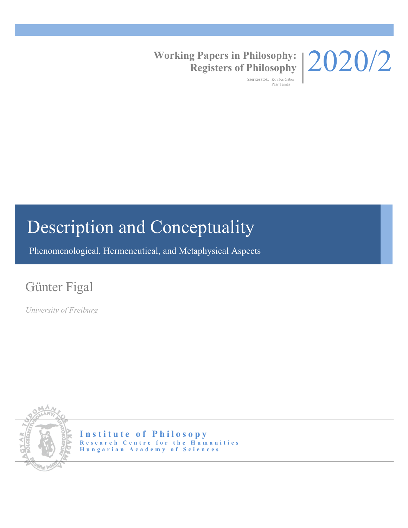

## **Working Papers in Philosophy: Registers of Philosophy**

Szerkesztők: Kovács Gábor Paár Tamás

# Description and Conceptuality

Phenomenological, Hermeneutical, and Metaphysical Aspects

## Günter Figal

*University of Freiburg*



**Institute of Philosopy Research Centre for the Humanities Hungarian Academy of Sciences**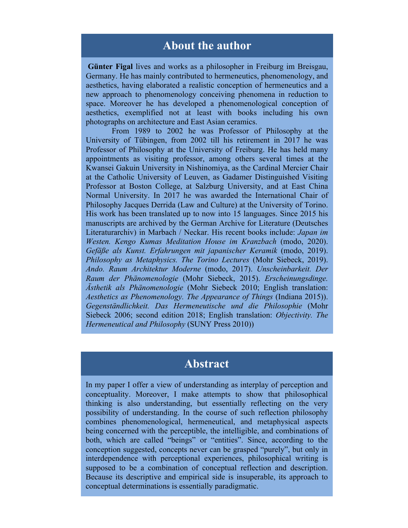#### **About the author**

**Günter Figal** lives and works as a philosopher in Freiburg im Breisgau, Germany. He has mainly contributed to hermeneutics, phenomenology, and aesthetics, having elaborated a realistic conception of hermeneutics and a new approach to phenomenology conceiving phenomena in reduction to space. Moreover he has developed a phenomenological conception of aesthetics, exemplified not at least with books including his own photographs on architecture and East Asian ceramics.

 From 1989 to 2002 he was Professor of Philosophy at the University of Tübingen, from 2002 till his retirement in 2017 he was Professor of Philosophy at the University of Freiburg. He has held many appointments as visiting professor, among others several times at the Kwansei Gakuin University in Nishinomiya, as the Cardinal Mercier Chair at the Catholic University of Leuven, as Gadamer Distinguished Visiting Professor at Boston College, at Salzburg University, and at East China Normal University. In 2017 he was awarded the International Chair of Philosophy Jacques Derrida (Law and Culture) at the University of Torino. His work has been translated up to now into 15 languages. Since 2015 his manuscripts are archived by the German Archive for Literature (Deutsches Literaturarchiv) in Marbach / Neckar. His recent books include: *Japan im Westen. Kengo Kumas Meditation House im Kranzbach* (modo, 2020). *Gefäße als Kunst. Erfahrungen mit japanischer Keramik* (modo, 2019). *Philosophy as Metaphysics. The Torino Lectures* (Mohr Siebeck, 2019). *Ando. Raum Architektur Moderne* (modo, 2017). *Unscheinbarkeit. Der Raum der Phänomenologie* (Mohr Siebeck, 2015). *Erscheinungsdinge. Ästhetik als Phänomenologie* (Mohr Siebeck 2010; English translation: *Aesthetics as Phenomenology. The Appearance of Things* (Indiana 2015)). *Gegenständlichkeit. Das Hermeneutische und die Philosophie* (Mohr Siebeck 2006; second edition 2018; English translation: *Objectivity. The Hermeneutical and Philosophy* (SUNY Press 2010))

## **Abstract**

In my paper I offer a view of understanding as interplay of perception and conceptuality. Moreover, I make attempts to show that philosophical thinking is also understanding, but essentially reflecting on the very possibility of understanding. In the course of such reflection philosophy combines phenomenological, hermeneutical, and metaphysical aspects being concerned with the perceptible, the intelligible, and combinations of both, which are called "beings" or "entities". Since, according to the conception suggested, concepts never can be grasped "purely", but only in interdependence with perceptional experiences, philosophical writing is supposed to be a combination of conceptual reflection and description. Because its descriptive and empirical side is insuperable, its approach to conceptual determinations is essentially paradigmatic.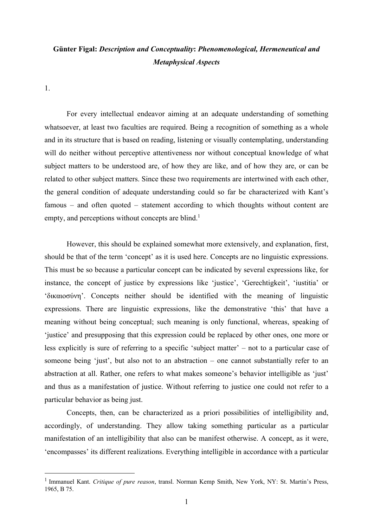#### **Günter Figal:** *Description and Conceptuality***:** *Phenomenological, Hermeneutical and Metaphysical Aspects*

1.

For every intellectual endeavor aiming at an adequate understanding of something whatsoever, at least two faculties are required. Being a recognition of something as a whole and in its structure that is based on reading, listening or visually contemplating, understanding will do neither without perceptive attentiveness nor without conceptual knowledge of what subject matters to be understood are, of how they are like, and of how they are, or can be related to other subject matters. Since these two requirements are intertwined with each other, the general condition of adequate understanding could so far be characterized with Kant's famous – and often quoted – statement according to which thoughts without content are empty, and perceptions without concepts are blind.<sup>1</sup>

However, this should be explained somewhat more extensively, and explanation, first, should be that of the term 'concept' as it is used here. Concepts are no linguistic expressions. This must be so because a particular concept can be indicated by several expressions like, for instance, the concept of justice by expressions like 'justice', 'Gerechtigkeit', 'iustitia' or 'δικαιοσύνη'. Concepts neither should be identified with the meaning of linguistic expressions. There are linguistic expressions, like the demonstrative 'this' that have a meaning without being conceptual; such meaning is only functional, whereas, speaking of 'justice' and presupposing that this expression could be replaced by other ones, one more or less explicitly is sure of referring to a specific 'subject matter' – not to a particular case of someone being 'just', but also not to an abstraction – one cannot substantially refer to an abstraction at all. Rather, one refers to what makes someone's behavior intelligible as 'just' and thus as a manifestation of justice. Without referring to justice one could not refer to a particular behavior as being just.

Concepts, then, can be characterized as a priori possibilities of intelligibility and, accordingly, of understanding. They allow taking something particular as a particular manifestation of an intelligibility that also can be manifest otherwise. A concept, as it were, 'encompasses' its different realizations. Everything intelligible in accordance with a particular

<sup>1</sup> Immanuel Kant. *Critique of pure reason*, transl. Norman Kemp Smith, New York, NY: St. Martin's Press, 1965, B 75.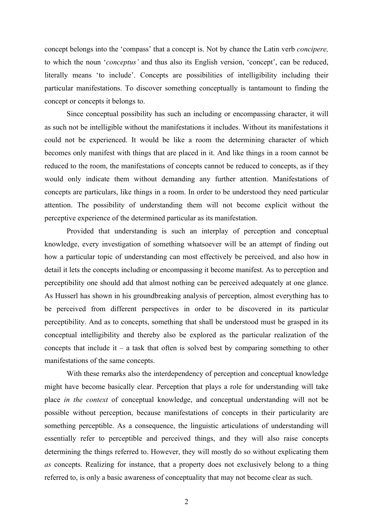concept belongs into the 'compass' that a concept is. Not by chance the Latin verb *concipere,*  to which the noun '*conceptus'* and thus also its English version, 'concept', can be reduced, literally means 'to include'. Concepts are possibilities of intelligibility including their particular manifestations. To discover something conceptually is tantamount to finding the concept or concepts it belongs to.

Since conceptual possibility has such an including or encompassing character, it will as such not be intelligible without the manifestations it includes. Without its manifestations it could not be experienced. It would be like a room the determining character of which becomes only manifest with things that are placed in it. And like things in a room cannot be reduced to the room, the manifestations of concepts cannot be reduced to concepts, as if they would only indicate them without demanding any further attention. Manifestations of concepts are particulars, like things in a room. In order to be understood they need particular attention. The possibility of understanding them will not become explicit without the perceptive experience of the determined particular as its manifestation.

Provided that understanding is such an interplay of perception and conceptual knowledge, every investigation of something whatsoever will be an attempt of finding out how a particular topic of understanding can most effectively be perceived, and also how in detail it lets the concepts including or encompassing it become manifest. As to perception and perceptibility one should add that almost nothing can be perceived adequately at one glance. As Husserl has shown in his groundbreaking analysis of perception, almost everything has to be perceived from different perspectives in order to be discovered in its particular perceptibility. And as to concepts, something that shall be understood must be grasped in its conceptual intelligibility and thereby also be explored as the particular realization of the concepts that include it – a task that often is solved best by comparing something to other manifestations of the same concepts.

With these remarks also the interdependency of perception and conceptual knowledge might have become basically clear. Perception that plays a role for understanding will take place *in the context* of conceptual knowledge, and conceptual understanding will not be possible without perception, because manifestations of concepts in their particularity are something perceptible. As a consequence, the linguistic articulations of understanding will essentially refer to perceptible and perceived things, and they will also raise concepts determining the things referred to. However, they will mostly do so without explicating them *as* concepts. Realizing for instance, that a property does not exclusively belong to a thing referred to, is only a basic awareness of conceptuality that may not become clear as such.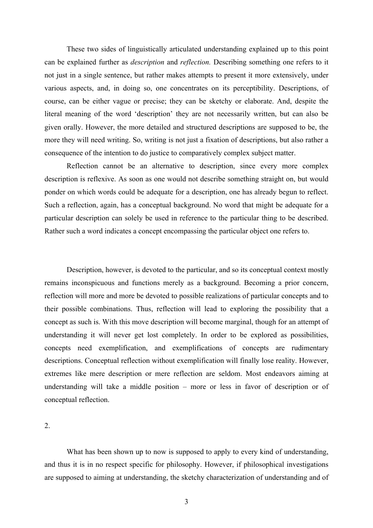These two sides of linguistically articulated understanding explained up to this point can be explained further as *description* and *reflection.* Describing something one refers to it not just in a single sentence, but rather makes attempts to present it more extensively, under various aspects, and, in doing so, one concentrates on its perceptibility. Descriptions, of course, can be either vague or precise; they can be sketchy or elaborate. And, despite the literal meaning of the word 'description' they are not necessarily written, but can also be given orally. However, the more detailed and structured descriptions are supposed to be, the more they will need writing. So, writing is not just a fixation of descriptions, but also rather a consequence of the intention to do justice to comparatively complex subject matter.

Reflection cannot be an alternative to description, since every more complex description is reflexive. As soon as one would not describe something straight on, but would ponder on which words could be adequate for a description, one has already begun to reflect. Such a reflection, again, has a conceptual background. No word that might be adequate for a particular description can solely be used in reference to the particular thing to be described. Rather such a word indicates a concept encompassing the particular object one refers to.

Description, however, is devoted to the particular, and so its conceptual context mostly remains inconspicuous and functions merely as a background. Becoming a prior concern, reflection will more and more be devoted to possible realizations of particular concepts and to their possible combinations. Thus, reflection will lead to exploring the possibility that a concept as such is. With this move description will become marginal, though for an attempt of understanding it will never get lost completely. In order to be explored as possibilities, concepts need exemplification, and exemplifications of concepts are rudimentary descriptions. Conceptual reflection without exemplification will finally lose reality. However, extremes like mere description or mere reflection are seldom. Most endeavors aiming at understanding will take a middle position – more or less in favor of description or of conceptual reflection.

2.

What has been shown up to now is supposed to apply to every kind of understanding, and thus it is in no respect specific for philosophy. However, if philosophical investigations are supposed to aiming at understanding, the sketchy characterization of understanding and of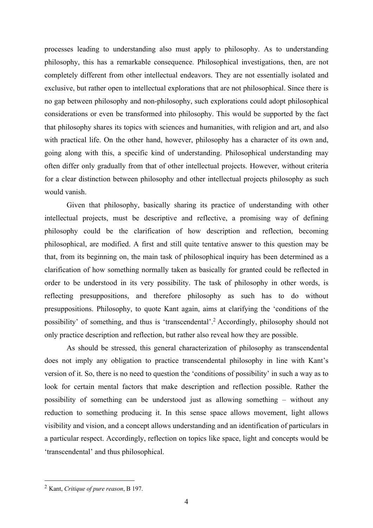processes leading to understanding also must apply to philosophy. As to understanding philosophy, this has a remarkable consequence. Philosophical investigations, then, are not completely different from other intellectual endeavors. They are not essentially isolated and exclusive, but rather open to intellectual explorations that are not philosophical. Since there is no gap between philosophy and non-philosophy, such explorations could adopt philosophical considerations or even be transformed into philosophy. This would be supported by the fact that philosophy shares its topics with sciences and humanities, with religion and art, and also with practical life. On the other hand, however, philosophy has a character of its own and, going along with this, a specific kind of understanding. Philosophical understanding may often differ only gradually from that of other intellectual projects. However, without criteria for a clear distinction between philosophy and other intellectual projects philosophy as such would vanish.

Given that philosophy, basically sharing its practice of understanding with other intellectual projects, must be descriptive and reflective, a promising way of defining philosophy could be the clarification of how description and reflection, becoming philosophical, are modified. A first and still quite tentative answer to this question may be that, from its beginning on, the main task of philosophical inquiry has been determined as a clarification of how something normally taken as basically for granted could be reflected in order to be understood in its very possibility. The task of philosophy in other words, is reflecting presuppositions, and therefore philosophy as such has to do without presuppositions. Philosophy, to quote Kant again, aims at clarifying the 'conditions of the possibility' of something, and thus is 'transcendental'.2 Accordingly, philosophy should not only practice description and reflection, but rather also reveal how they are possible.

As should be stressed, this general characterization of philosophy as transcendental does not imply any obligation to practice transcendental philosophy in line with Kant's version of it. So, there is no need to question the 'conditions of possibility' in such a way as to look for certain mental factors that make description and reflection possible. Rather the possibility of something can be understood just as allowing something – without any reduction to something producing it. In this sense space allows movement, light allows visibility and vision, and a concept allows understanding and an identification of particulars in a particular respect. Accordingly, reflection on topics like space, light and concepts would be 'transcendental' and thus philosophical.

<sup>2</sup> Kant, *Critique of pure reason*, B 197.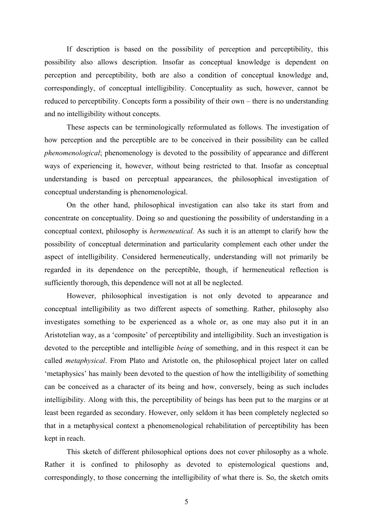If description is based on the possibility of perception and perceptibility, this possibility also allows description. Insofar as conceptual knowledge is dependent on perception and perceptibility, both are also a condition of conceptual knowledge and, correspondingly, of conceptual intelligibility. Conceptuality as such, however, cannot be reduced to perceptibility. Concepts form a possibility of their own – there is no understanding and no intelligibility without concepts.

These aspects can be terminologically reformulated as follows. The investigation of how perception and the perceptible are to be conceived in their possibility can be called *phenomenological*; phenomenology is devoted to the possibility of appearance and different ways of experiencing it, however, without being restricted to that. Insofar as conceptual understanding is based on perceptual appearances, the philosophical investigation of conceptual understanding is phenomenological.

On the other hand, philosophical investigation can also take its start from and concentrate on conceptuality. Doing so and questioning the possibility of understanding in a conceptual context, philosophy is *hermeneutical.* As such it is an attempt to clarify how the possibility of conceptual determination and particularity complement each other under the aspect of intelligibility. Considered hermeneutically, understanding will not primarily be regarded in its dependence on the perceptible, though, if hermeneutical reflection is sufficiently thorough, this dependence will not at all be neglected.

However, philosophical investigation is not only devoted to appearance and conceptual intelligibility as two different aspects of something. Rather, philosophy also investigates something to be experienced as a whole or, as one may also put it in an Aristotelian way, as a 'composite' of perceptibility and intelligibility. Such an investigation is devoted to the perceptible and intelligible *being* of something, and in this respect it can be called *metaphysical*. From Plato and Aristotle on, the philosophical project later on called 'metaphysics' has mainly been devoted to the question of how the intelligibility of something can be conceived as a character of its being and how, conversely, being as such includes intelligibility. Along with this, the perceptibility of beings has been put to the margins or at least been regarded as secondary. However, only seldom it has been completely neglected so that in a metaphysical context a phenomenological rehabilitation of perceptibility has been kept in reach.

This sketch of different philosophical options does not cover philosophy as a whole. Rather it is confined to philosophy as devoted to epistemological questions and, correspondingly, to those concerning the intelligibility of what there is. So, the sketch omits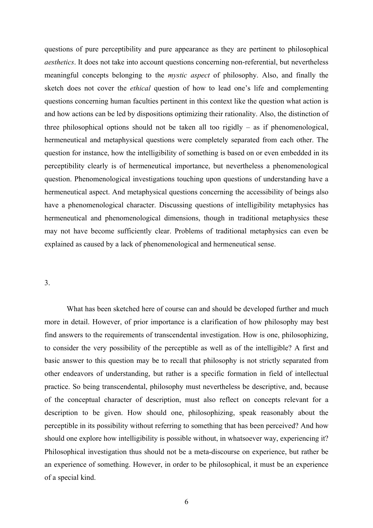questions of pure perceptibility and pure appearance as they are pertinent to philosophical *aesthetics*. It does not take into account questions concerning non-referential, but nevertheless meaningful concepts belonging to the *mystic aspect* of philosophy. Also, and finally the sketch does not cover the *ethical* question of how to lead one's life and complementing questions concerning human faculties pertinent in this context like the question what action is and how actions can be led by dispositions optimizing their rationality. Also, the distinction of three philosophical options should not be taken all too rigidly – as if phenomenological, hermeneutical and metaphysical questions were completely separated from each other. The question for instance, how the intelligibility of something is based on or even embedded in its perceptibility clearly is of hermeneutical importance, but nevertheless a phenomenological question. Phenomenological investigations touching upon questions of understanding have a hermeneutical aspect. And metaphysical questions concerning the accessibility of beings also have a phenomenological character. Discussing questions of intelligibility metaphysics has hermeneutical and phenomenological dimensions, though in traditional metaphysics these may not have become sufficiently clear. Problems of traditional metaphysics can even be explained as caused by a lack of phenomenological and hermeneutical sense.

#### 3.

What has been sketched here of course can and should be developed further and much more in detail. However, of prior importance is a clarification of how philosophy may best find answers to the requirements of transcendental investigation. How is one, philosophizing, to consider the very possibility of the perceptible as well as of the intelligible? A first and basic answer to this question may be to recall that philosophy is not strictly separated from other endeavors of understanding, but rather is a specific formation in field of intellectual practice. So being transcendental, philosophy must nevertheless be descriptive, and, because of the conceptual character of description, must also reflect on concepts relevant for a description to be given. How should one, philosophizing, speak reasonably about the perceptible in its possibility without referring to something that has been perceived? And how should one explore how intelligibility is possible without, in whatsoever way, experiencing it? Philosophical investigation thus should not be a meta-discourse on experience, but rather be an experience of something. However, in order to be philosophical, it must be an experience of a special kind.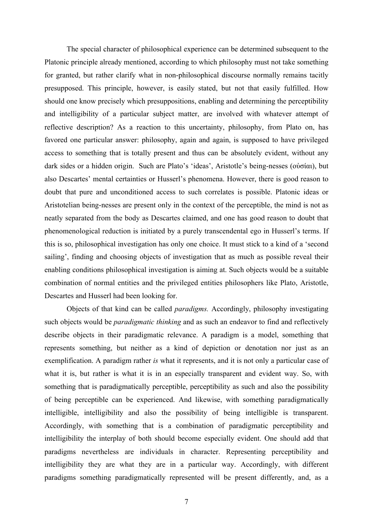The special character of philosophical experience can be determined subsequent to the Platonic principle already mentioned, according to which philosophy must not take something for granted, but rather clarify what in non-philosophical discourse normally remains tacitly presupposed. This principle, however, is easily stated, but not that easily fulfilled. How should one know precisely which presuppositions, enabling and determining the perceptibility and intelligibility of a particular subject matter, are involved with whatever attempt of reflective description? As a reaction to this uncertainty, philosophy, from Plato on, has favored one particular answer: philosophy, again and again, is supposed to have privileged access to something that is totally present and thus can be absolutely evident, without any dark sides or a hidden origin. Such are Plato's 'ideas', Aristotle's being-nesses (οὐσίαι), but also Descartes' mental certainties or Husserl's phenomena. However, there is good reason to doubt that pure and unconditioned access to such correlates is possible. Platonic ideas or Aristotelian being-nesses are present only in the context of the perceptible, the mind is not as neatly separated from the body as Descartes claimed, and one has good reason to doubt that phenomenological reduction is initiated by a purely transcendental ego in Husserl's terms. If this is so, philosophical investigation has only one choice. It must stick to a kind of a 'second sailing', finding and choosing objects of investigation that as much as possible reveal their enabling conditions philosophical investigation is aiming at. Such objects would be a suitable combination of normal entities and the privileged entities philosophers like Plato, Aristotle, Descartes and Husserl had been looking for.

Objects of that kind can be called *paradigms.* Accordingly, philosophy investigating such objects would be *paradigmatic thinking* and as such an endeavor to find and reflectively describe objects in their paradigmatic relevance. A paradigm is a model, something that represents something, but neither as a kind of depiction or denotation nor just as an exemplification. A paradigm rather *is* what it represents, and it is not only a particular case of what it is, but rather is what it is in an especially transparent and evident way. So, with something that is paradigmatically perceptible, perceptibility as such and also the possibility of being perceptible can be experienced. And likewise, with something paradigmatically intelligible, intelligibility and also the possibility of being intelligible is transparent. Accordingly, with something that is a combination of paradigmatic perceptibility and intelligibility the interplay of both should become especially evident. One should add that paradigms nevertheless are individuals in character. Representing perceptibility and intelligibility they are what they are in a particular way. Accordingly, with different paradigms something paradigmatically represented will be present differently, and, as a

7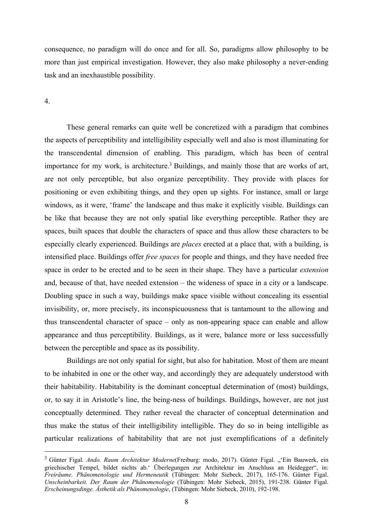consequence, no paradigm will do once and for all. So, paradigms allow philosophy to be more than just empirical investigation. However, they also make philosophy a never-ending task and an inexhaustible possibility.

#### 4.

These general remarks can quite well be concretized with a paradigm that combines the aspects of perceptibility and intelligibility especially well and also is most illuminating for the transcendental dimension of enabling. This paradigm, which has been of central importance for my work, is architecture.<sup>3</sup> Buildings, and mainly those that are works of art, are not only perceptible, but also organize perceptibility. They provide with places for positioning or even exhibiting things, and they open up sights. For instance, small or large windows, as it were, 'frame' the landscape and thus make it explicitly visible. Buildings can be like that because they are not only spatial like everything perceptible. Rather they are spaces, built spaces that double the characters of space and thus allow these characters to be especially clearly experienced. Buildings are *places* erected at a place that, with a building, is intensified place. Buildings offer *free spaces* for people and things, and they have needed free space in order to be erected and to be seen in their shape. They have a particular *extension* and, because of that, have needed extension – the wideness of space in a city or a landscape. Doubling space in such a way, buildings make space visible without concealing its essential invisibility, or, more precisely, its inconspicuousness that is tantamount to the allowing and thus transcendental character of space – only as non-appearing space can enable and allow appearance and thus perceptibility. Buildings, as it were, balance more or less successfully between the perceptible and space as its possibility.

Buildings are not only spatial for sight, but also for habitation. Most of them are meant to be inhabited in one or the other way, and accordingly they are adequately understood with their habitability. Habitability is the dominant conceptual determination of (most) buildings, or, to say it in Aristotle's line, the being-ness of buildings. Buildings, however, are not just conceptually determined. They rather reveal the character of conceptual determination and thus make the status of their intelligibility intelligible. They do so in being intelligible as particular realizations of habitability that are not just exemplifications of a definitely

<sup>&</sup>lt;sup>3</sup> Günter Figal. *Ando. Raum Architektur Moderne*(Freiburg: modo, 2017). Günter Figal. "'Ein Bauwerk, ein griechischer Tempel, bildet nichts ab.' Überlegungen zur Architektur im Anschluss an Heidegger", in: *Freiräume. Phänomenologie und Hermeneutik* (Tübingen: Mohr Siebeck, 2017), 165-176. Günter Figal. *Unscheinbarkeit. Der Raum der Phänomenologie* (Tübingen: Mohr Siebeck, 2015), 191-238. Günter Figal. *Erscheinungsdinge. Ästhetik als Phänomenologie*, (Tübingen: Mohr Siebeck, 2010), 192-198.